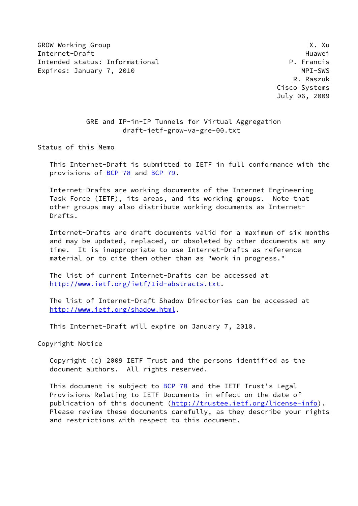GROW Working Group **X. 2008** Internet-Draft Huawei Intended status: Informational **P. Francis** Expires: January 7, 2010 **MPI-SWS** 

 R. Raszuk Cisco Systems July 06, 2009

## GRE and IP-in-IP Tunnels for Virtual Aggregation draft-ietf-grow-va-gre-00.txt

Status of this Memo

 This Internet-Draft is submitted to IETF in full conformance with the provisions of [BCP 78](https://datatracker.ietf.org/doc/pdf/bcp78) and [BCP 79](https://datatracker.ietf.org/doc/pdf/bcp79).

 Internet-Drafts are working documents of the Internet Engineering Task Force (IETF), its areas, and its working groups. Note that other groups may also distribute working documents as Internet- Drafts.

 Internet-Drafts are draft documents valid for a maximum of six months and may be updated, replaced, or obsoleted by other documents at any time. It is inappropriate to use Internet-Drafts as reference material or to cite them other than as "work in progress."

 The list of current Internet-Drafts can be accessed at <http://www.ietf.org/ietf/1id-abstracts.txt>.

 The list of Internet-Draft Shadow Directories can be accessed at <http://www.ietf.org/shadow.html>.

This Internet-Draft will expire on January 7, 2010.

Copyright Notice

 Copyright (c) 2009 IETF Trust and the persons identified as the document authors. All rights reserved.

This document is subject to [BCP 78](https://datatracker.ietf.org/doc/pdf/bcp78) and the IETF Trust's Legal Provisions Relating to IETF Documents in effect on the date of publication of this document [\(http://trustee.ietf.org/license-info](http://trustee.ietf.org/license-info)). Please review these documents carefully, as they describe your rights and restrictions with respect to this document.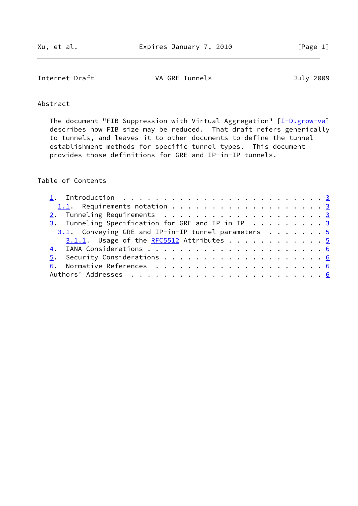Internet-Draft VA GRE Tunnels July 2009

# Abstract

The document "FIB Suppression with Virtual Aggregation" [\[I-D.grow-va](#page-5-0)] describes how FIB size may be reduced. That draft refers generically to tunnels, and leaves it to other documents to define the tunnel establishment methods for specific tunnel types. This document provides those definitions for GRE and IP-in-IP tunnels.

## Table of Contents

| $\underline{3}$ . Tunneling Specification for GRE and IP-in-IP 3 |  |
|------------------------------------------------------------------|--|
| 3.1. Conveying GRE and IP-in-IP tunnel parameters 5              |  |
| $3.1.1.$ Usage of the RFC5512 Attributes 5                       |  |
|                                                                  |  |
|                                                                  |  |
|                                                                  |  |
|                                                                  |  |
|                                                                  |  |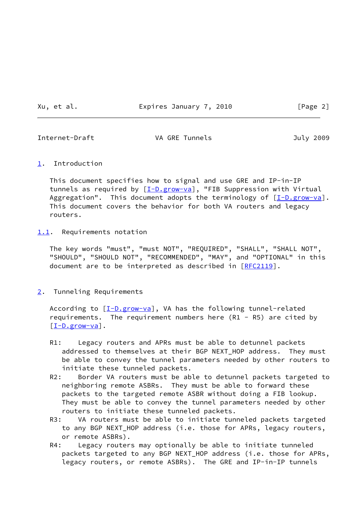Xu, et al. Expires January 7, 2010 [Page 2]

<span id="page-2-1"></span>

Internet-Draft **VA GRE Tunnels July 2009** 

### <span id="page-2-0"></span>[1](#page-2-0). Introduction

 This document specifies how to signal and use GRE and IP-in-IP tunnels as required by  $[\underline{I-D.grow-va}]$ , "FIB Suppression with Virtual Aggregation". This document adopts the terminology of  $[I-D.grow-va]$  $[I-D.grow-va]$ . This document covers the behavior for both VA routers and legacy routers.

### <span id="page-2-2"></span>[1.1](#page-2-2). Requirements notation

 The key words "must", "must NOT", "REQUIRED", "SHALL", "SHALL NOT", "SHOULD", "SHOULD NOT", "RECOMMENDED", "MAY", and "OPTIONAL" in this document are to be interpreted as described in [\[RFC2119](https://datatracker.ietf.org/doc/pdf/rfc2119)].

## <span id="page-2-3"></span>[2](#page-2-3). Tunneling Requirements

According to [\[I-D.grow-va](#page-5-0)], VA has the following tunnel-related requirements. The requirement numbers here (R1 - R5) are cited by  $[I-D.grow-*va*]$ .

- R1: Legacy routers and APRs must be able to detunnel packets addressed to themselves at their BGP NEXT\_HOP address. They must be able to convey the tunnel parameters needed by other routers to initiate these tunneled packets.
- R2: Border VA routers must be able to detunnel packets targeted to neighboring remote ASBRs. They must be able to forward these packets to the targeted remote ASBR without doing a FIB lookup. They must be able to convey the tunnel parameters needed by other routers to initiate these tunneled packets.
- R3: VA routers must be able to initiate tunneled packets targeted to any BGP NEXT\_HOP address (i.e. those for APRs, legacy routers, or remote ASBRs).
- R4: Legacy routers may optionally be able to initiate tunneled packets targeted to any BGP NEXT\_HOP address (i.e. those for APRs, legacy routers, or remote ASBRs). The GRE and IP-in-IP tunnels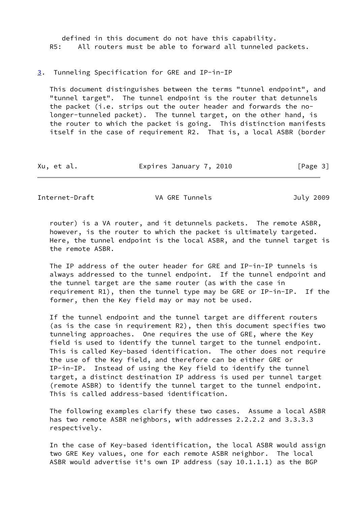defined in this document do not have this capability. R5: All routers must be able to forward all tunneled packets.

<span id="page-3-0"></span>[3](#page-3-0). Tunneling Specification for GRE and IP-in-IP

 This document distinguishes between the terms "tunnel endpoint", and "tunnel target". The tunnel endpoint is the router that detunnels the packet (i.e. strips out the outer header and forwards the no longer-tunneled packet). The tunnel target, on the other hand, is the router to which the packet is going. This distinction manifests itself in the case of requirement R2. That is, a local ASBR (border

| Xu, et al. | Expires January 7, 2010 | [Page 3] |
|------------|-------------------------|----------|
|------------|-------------------------|----------|

Internet-Draft **VA GRE Tunnels** VA GRE TUNNELLED July 2009

 router) is a VA router, and it detunnels packets. The remote ASBR, however, is the router to which the packet is ultimately targeted. Here, the tunnel endpoint is the local ASBR, and the tunnel target is the remote ASBR.

 The IP address of the outer header for GRE and IP-in-IP tunnels is always addressed to the tunnel endpoint. If the tunnel endpoint and the tunnel target are the same router (as with the case in requirement R1), then the tunnel type may be GRE or IP-in-IP. If the former, then the Key field may or may not be used.

 If the tunnel endpoint and the tunnel target are different routers (as is the case in requirement R2), then this document specifies two tunneling approaches. One requires the use of GRE, where the Key field is used to identify the tunnel target to the tunnel endpoint. This is called Key-based identification. The other does not require the use of the Key field, and therefore can be either GRE or IP-in-IP. Instead of using the Key field to identify the tunnel target, a distinct destination IP address is used per tunnel target (remote ASBR) to identify the tunnel target to the tunnel endpoint. This is called address-based identification.

 The following examples clarify these two cases. Assume a local ASBR has two remote ASBR neighbors, with addresses 2.2.2.2 and 3.3.3.3 respectively.

 In the case of Key-based identification, the local ASBR would assign two GRE Key values, one for each remote ASBR neighbor. The local ASBR would advertise it's own IP address (say 10.1.1.1) as the BGP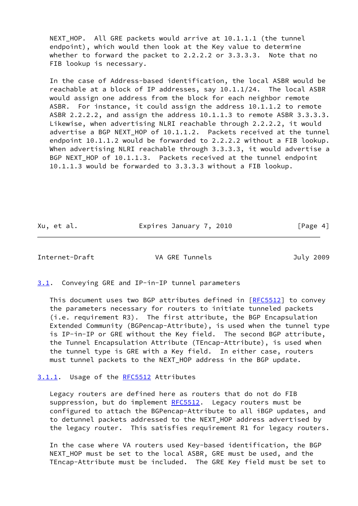NEXT HOP. All GRE packets would arrive at 10.1.1.1 (the tunnel endpoint), which would then look at the Key value to determine whether to forward the packet to 2.2.2.2 or 3.3.3.3. Note that no FIB lookup is necessary.

 In the case of Address-based identification, the local ASBR would be reachable at a block of IP addresses, say 10.1.1/24. The local ASBR would assign one address from the block for each neighbor remote ASBR. For instance, it could assign the address 10.1.1.2 to remote ASBR 2.2.2.2, and assign the address 10.1.1.3 to remote ASBR 3.3.3.3. Likewise, when advertising NLRI reachable through 2.2.2.2, it would advertise a BGP NEXT\_HOP of 10.1.1.2. Packets received at the tunnel endpoint 10.1.1.2 would be forwarded to 2.2.2.2 without a FIB lookup. When advertising NLRI reachable through 3.3.3.3, it would advertise a BGP NEXT\_HOP of 10.1.1.3. Packets received at the tunnel endpoint 10.1.1.3 would be forwarded to 3.3.3.3 without a FIB lookup.

Xu, et al. Expires January 7, 2010 [Page 4]

<span id="page-4-1"></span>Internet-Draft VA GRE Tunnels July 2009

<span id="page-4-0"></span>[3.1](#page-4-0). Conveying GRE and IP-in-IP tunnel parameters

This document uses two BGP attributes defined in [\[RFC5512](https://datatracker.ietf.org/doc/pdf/rfc5512)] to convey the parameters necessary for routers to initiate tunneled packets (i.e. requirement R3). The first attribute, the BGP Encapsulation Extended Community (BGPencap-Attribute), is used when the tunnel type is IP-in-IP or GRE without the Key field. The second BGP attribute, the Tunnel Encapsulation Attribute (TEncap-Attribute), is used when the tunnel type is GRE with a Key field. In either case, routers must tunnel packets to the NEXT\_HOP address in the BGP update.

#### <span id="page-4-2"></span>[3.1.1](#page-4-2). Usage of the [RFC5512](https://datatracker.ietf.org/doc/pdf/rfc5512) Attributes

 Legacy routers are defined here as routers that do not do FIB suppression, but do implement [RFC5512](https://datatracker.ietf.org/doc/pdf/rfc5512). Legacy routers must be configured to attach the BGPencap-Attribute to all iBGP updates, and to detunnel packets addressed to the NEXT\_HOP address advertised by the legacy router. This satisfies requirement R1 for legacy routers.

 In the case where VA routers used Key-based identification, the BGP NEXT\_HOP must be set to the local ASBR, GRE must be used, and the TEncap-Attribute must be included. The GRE Key field must be set to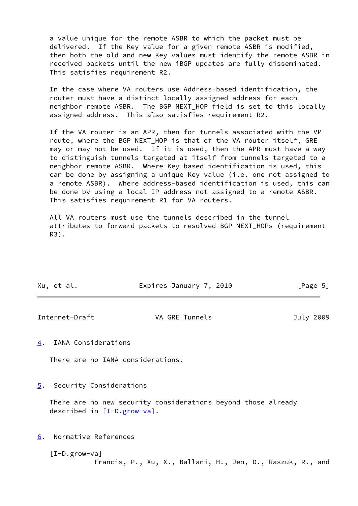a value unique for the remote ASBR to which the packet must be delivered. If the Key value for a given remote ASBR is modified, then both the old and new Key values must identify the remote ASBR in received packets until the new iBGP updates are fully disseminated. This satisfies requirement R2.

 In the case where VA routers use Address-based identification, the router must have a distinct locally assigned address for each neighbor remote ASBR. The BGP NEXT\_HOP field is set to this locally assigned address. This also satisfies requirement R2.

 If the VA router is an APR, then for tunnels associated with the VP route, where the BGP NEXT HOP is that of the VA router itself, GRE may or may not be used. If it is used, then the APR must have a way to distinguish tunnels targeted at itself from tunnels targeted to a neighbor remote ASBR. Where Key-based identification is used, this can be done by assigning a unique Key value (i.e. one not assigned to a remote ASBR). Where address-based identification is used, this can be done by using a local IP address not assigned to a remote ASBR. This satisfies requirement R1 for VA routers.

 All VA routers must use the tunnels described in the tunnel attributes to forward packets to resolved BGP NEXT HOPs (requirement R3).

| Xu, et al. | Expires January 7, 2010 | [Page 5] |
|------------|-------------------------|----------|

<span id="page-5-2"></span>Internet-Draft **VA GRE Tunnels July 2009** 

<span id="page-5-1"></span>[4](#page-5-1). IANA Considerations

There are no IANA considerations.

<span id="page-5-3"></span>[5](#page-5-3). Security Considerations

 There are no new security considerations beyond those already described in  $[I-D.grow-<sub>va</sub>]$ .

<span id="page-5-4"></span>[6](#page-5-4). Normative References

<span id="page-5-0"></span> [I-D.grow-va] Francis, P., Xu, X., Ballani, H., Jen, D., Raszuk, R., and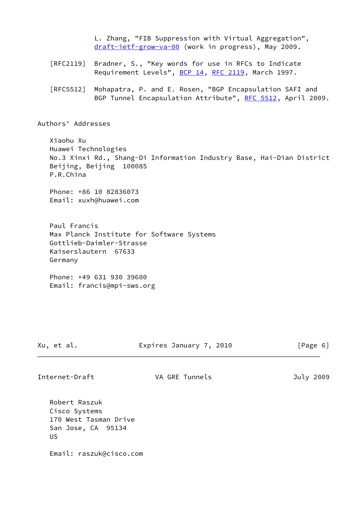L. Zhang, "FIB Suppression with Virtual Aggregation", [draft-ietf-grow-va-00](https://datatracker.ietf.org/doc/pdf/draft-ietf-grow-va-00) (work in progress), May 2009.

- [RFC2119] Bradner, S., "Key words for use in RFCs to Indicate Requirement Levels", [BCP 14](https://datatracker.ietf.org/doc/pdf/bcp14), [RFC 2119](https://datatracker.ietf.org/doc/pdf/rfc2119), March 1997.
- [RFC5512] Mohapatra, P. and E. Rosen, "BGP Encapsulation SAFI and BGP Tunnel Encapsulation Attribute", [RFC 5512](https://datatracker.ietf.org/doc/pdf/rfc5512), April 2009.

Authors' Addresses

 Xiaohu Xu Huawei Technologies No.3 Xinxi Rd., Shang-Di Information Industry Base, Hai-Dian District Beijing, Beijing 100085 P.R.China

 Phone: +86 10 82836073 Email: xuxh@huawei.com

 Paul Francis Max Planck Institute for Software Systems Gottlieb-Daimler-Strasse Kaiserslautern 67633 Germany

 Phone: +49 631 930 39600 Email: francis@mpi-sws.org

Xu, et al. Expires January 7, 2010 [Page 6]

Internet-Draft **VA GRE Tunnels July 2009** 

 Robert Raszuk Cisco Systems 170 West Tasman Drive San Jose, CA 95134 US

Email: raszuk@cisco.com